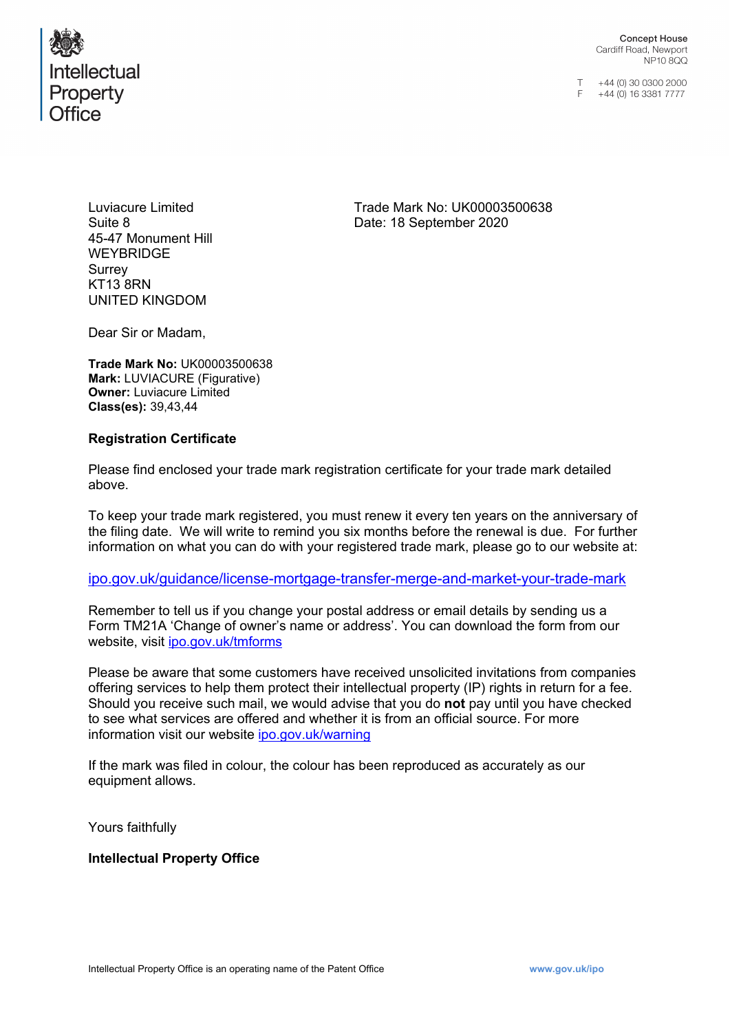

**Concept House** Cardiff Road, Newport NP10800

T +44 (0) 30 0300 2000<br>F +44 (0) 16 3381 7777

Luviacure Limited Suite 8 45-47 Monument Hill **WEYBRIDGE Surrey** KT13 8RN UNITED KINGDOM

Trade Mark No: UK00003500638 Date: 18 September 2020

Dear Sir or Madam,

**Trade Mark No:** UK00003500638 **Mark:** LUVIACURE (Figurative) **Owner:** Luviacure Limited **Class(es):** 39,43,44

### **Registration Certificate**

Please find enclosed your trade mark registration certificate for your trade mark detailed above.

To keep your trade mark registered, you must renew it every ten years on the anniversary of the filing date. We will write to remind you six months before the renewal is due. For further information on what you can do with your registered trade mark, please go to our website at:

### [ipo.gov.uk/guidance/license-mortgage-transfer-merge-and-market-your-trade-mark](https://www.gov.uk/guidance/license-mortgage-transfer-merge-and-market-your-trade-mark)

Remember to tell us if you change your postal address or email details by sending us a Form TM21A 'Change of owner's name or address'. You can download the form from our website, visit [ipo.gov.uk/tmforms](http://www.ipo.gov.uk/tmforms)

Please be aware that some customers have received unsolicited invitations from companies offering services to help them protect their intellectual property (IP) rights in return for a fee. Should you receive such mail, we would advise that you do **not** pay until you have checked to see what services are offered and whether it is from an official source. For more information visit our website [ipo.gov.uk/warning](http://www.ipo.gov.uk/warning)

If the mark was filed in colour, the colour has been reproduced as accurately as our equipment allows.

Yours faithfully

### **Intellectual Property Office**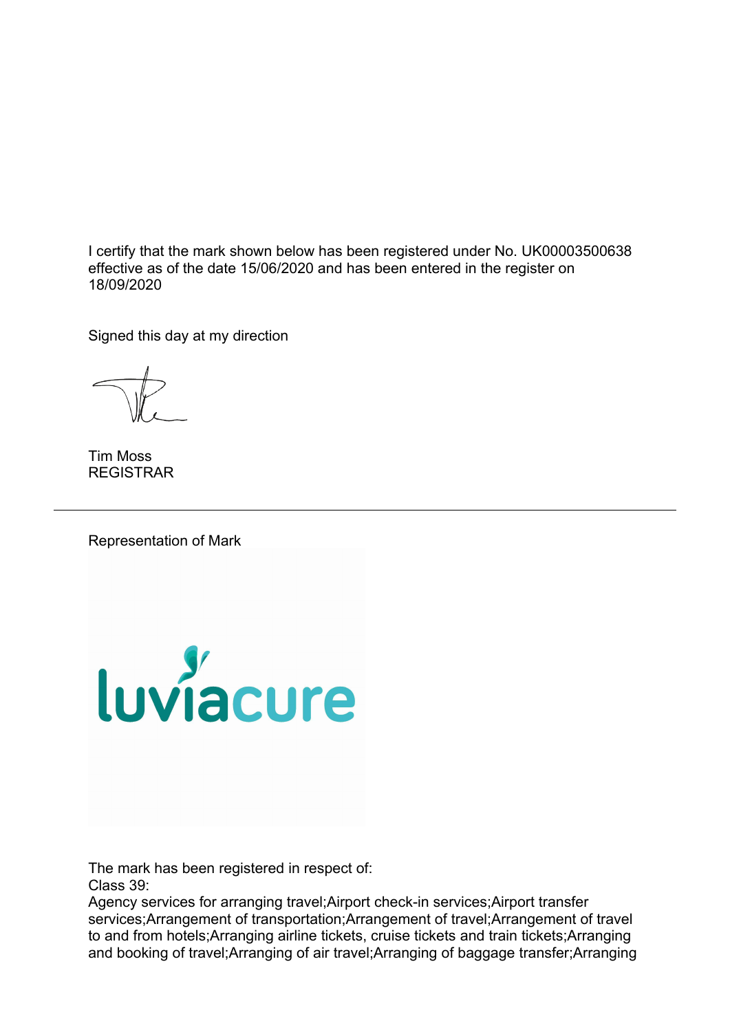I certify that the mark shown below has been registered under No. UK00003500638 effective as of the date 15/06/2020 and has been entered in the register on 18/09/2020

Signed this day at my direction

Tim Moss REGISTRAR

Representation of Mark



The mark has been registered in respect of: Class 39:

Agency services for arranging travel;Airport check-in services;Airport transfer services;Arrangement of transportation;Arrangement of travel;Arrangement of travel to and from hotels;Arranging airline tickets, cruise tickets and train tickets;Arranging and booking of travel;Arranging of air travel;Arranging of baggage transfer;Arranging